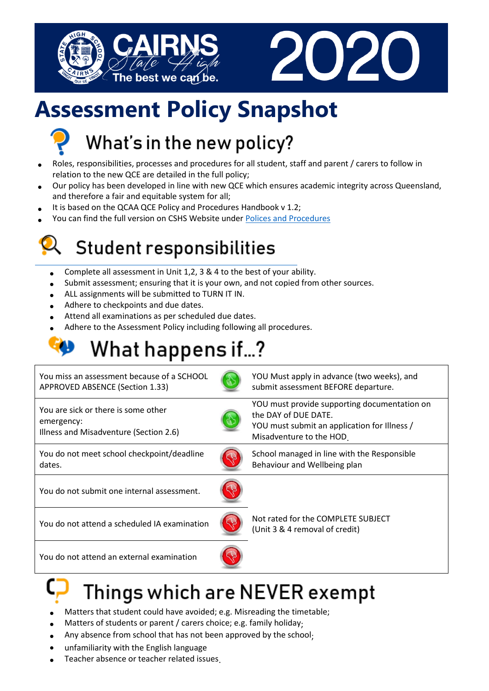



# **Assessment Policy Snapshot**



# What's in the new policy?

- Roles, responsibilities, processes and procedures for all student, staff and parent / carers to follow in relation to the new QCE are detailed in the full policy;
- Our policy has been developed in line with new QCE which ensures academic integrity across Queensland, and therefore a fair and equitable system for all;
- It is based on the QCAA QCE Policy and Procedures Handbook v 1.2;
- You can find the full version on CSHS Website under Polices and [Procedures](https://cairnsshs.eq.edu.au/our-school/rules-and-policies)

### Student responsibilities

- Complete all assessment in Unit 1,2, 3 & 4 to the best of your ability.
- Submit assessment; ensuring that it is your own, and not copied from other sources.
- ALL assignments will be submitted to TURN IT IN.
- Adhere to checkpoints and due dates.
- Attend all examinations as per scheduled due dates.
- Adhere to the Assessment Policy including following all procedures.

# What happens if...?

| You miss an assessment because of a SCHOOL<br>APPROVED ABSENCE (Section 1.33)               |  | YOU Must apply in advance (two weeks), and<br>submit assessment BEFORE departure.                                                                |
|---------------------------------------------------------------------------------------------|--|--------------------------------------------------------------------------------------------------------------------------------------------------|
| You are sick or there is some other<br>emergency:<br>Illness and Misadventure (Section 2.6) |  | YOU must provide supporting documentation on<br>the DAY of DUE DATE.<br>YOU must submit an application for Illness /<br>Misadventure to the HOD. |
| You do not meet school checkpoint/deadline<br>dates.                                        |  | School managed in line with the Responsible<br>Behaviour and Wellbeing plan                                                                      |
| You do not submit one internal assessment.                                                  |  |                                                                                                                                                  |
| You do not attend a scheduled IA examination                                                |  | Not rated for the COMPLETE SUBJECT<br>(Unit 3 & 4 removal of credit)                                                                             |
| You do not attend an external examination                                                   |  |                                                                                                                                                  |
|                                                                                             |  |                                                                                                                                                  |

### Things which are never exempt

- Matters that student could have avoided; e.g. Misreading the timetable;
- Matters of students or parent / carers choice; e.g. family holiday;
- Any absence from school that has not been approved by the school;
- unfamiliarity with the English language
- Teacher absence or teacher related issues.